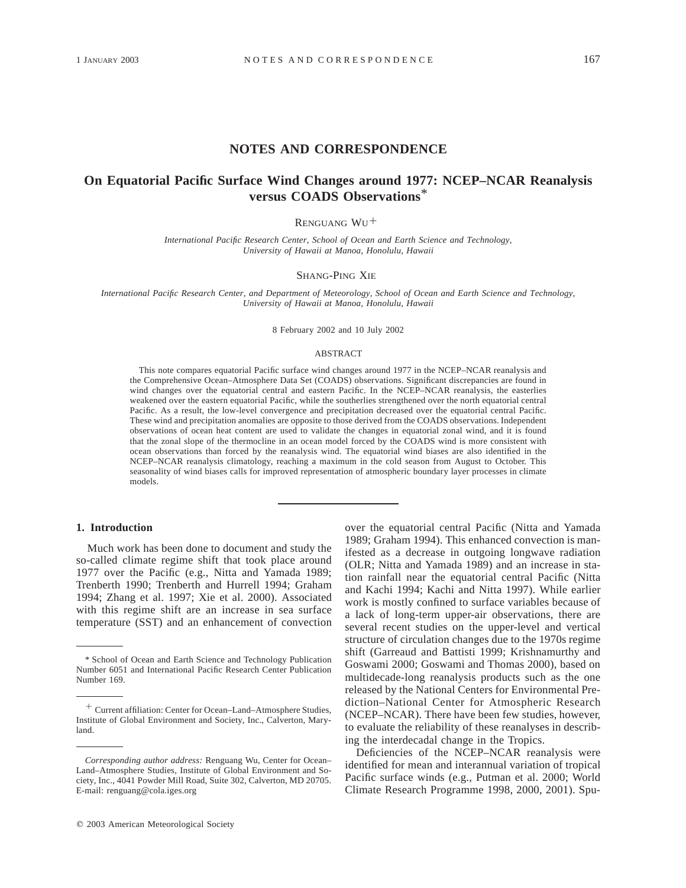## **NOTES AND CORRESPONDENCE**

# **On Equatorial Pacific Surface Wind Changes around 1977: NCEP–NCAR Reanalysis versus COADS Observations**\*

RENGUANG WU<sup>+</sup>

*International Pacific Research Center, School of Ocean and Earth Science and Technology, University of Hawaii at Manoa, Honolulu, Hawaii*

## SHANG-PING XIE

*International Pacific Research Center, and Department of Meteorology, School of Ocean and Earth Science and Technology, University of Hawaii at Manoa, Honolulu, Hawaii*

8 February 2002 and 10 July 2002

#### ABSTRACT

This note compares equatorial Pacific surface wind changes around 1977 in the NCEP–NCAR reanalysis and the Comprehensive Ocean–Atmosphere Data Set (COADS) observations. Significant discrepancies are found in wind changes over the equatorial central and eastern Pacific. In the NCEP–NCAR reanalysis, the easterlies weakened over the eastern equatorial Pacific, while the southerlies strengthened over the north equatorial central Pacific. As a result, the low-level convergence and precipitation decreased over the equatorial central Pacific. These wind and precipitation anomalies are opposite to those derived from the COADS observations. Independent observations of ocean heat content are used to validate the changes in equatorial zonal wind, and it is found that the zonal slope of the thermocline in an ocean model forced by the COADS wind is more consistent with ocean observations than forced by the reanalysis wind. The equatorial wind biases are also identified in the NCEP–NCAR reanalysis climatology, reaching a maximum in the cold season from August to October. This seasonality of wind biases calls for improved representation of atmospheric boundary layer processes in climate models.

## **1. Introduction**

Much work has been done to document and study the so-called climate regime shift that took place around 1977 over the Pacific (e.g., Nitta and Yamada 1989; Trenberth 1990; Trenberth and Hurrell 1994; Graham 1994; Zhang et al. 1997; Xie et al. 2000). Associated with this regime shift are an increase in sea surface temperature (SST) and an enhancement of convection over the equatorial central Pacific (Nitta and Yamada 1989; Graham 1994). This enhanced convection is manifested as a decrease in outgoing longwave radiation (OLR; Nitta and Yamada 1989) and an increase in station rainfall near the equatorial central Pacific (Nitta and Kachi 1994; Kachi and Nitta 1997). While earlier work is mostly confined to surface variables because of a lack of long-term upper-air observations, there are several recent studies on the upper-level and vertical structure of circulation changes due to the 1970s regime shift (Garreaud and Battisti 1999; Krishnamurthy and Goswami 2000; Goswami and Thomas 2000), based on multidecade-long reanalysis products such as the one released by the National Centers for Environmental Prediction–National Center for Atmospheric Research (NCEP–NCAR). There have been few studies, however, to evaluate the reliability of these reanalyses in describing the interdecadal change in the Tropics.

Deficiencies of the NCEP–NCAR reanalysis were identified for mean and interannual variation of tropical Pacific surface winds (e.g., Putman et al. 2000; World Climate Research Programme 1998, 2000, 2001). Spu-

<sup>\*</sup> School of Ocean and Earth Science and Technology Publication Number 6051 and International Pacific Research Center Publication Number 169.

<sup>1</sup> Current affiliation: Center for Ocean–Land–Atmosphere Studies, Institute of Global Environment and Society, Inc., Calverton, Maryland.

*Corresponding author address:* Renguang Wu, Center for Ocean– Land–Atmosphere Studies, Institute of Global Environment and Society, Inc., 4041 Powder Mill Road, Suite 302, Calverton, MD 20705. E-mail: renguang@cola.iges.org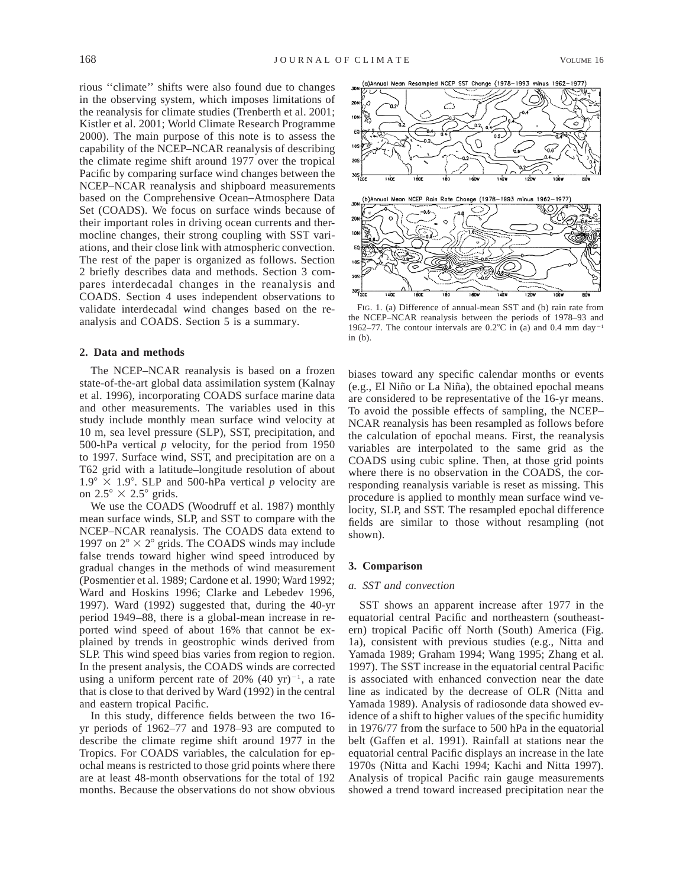rious ''climate'' shifts were also found due to changes in the observing system, which imposes limitations of the reanalysis for climate studies (Trenberth et al. 2001; Kistler et al. 2001; World Climate Research Programme 2000). The main purpose of this note is to assess the capability of the NCEP–NCAR reanalysis of describing the climate regime shift around 1977 over the tropical Pacific by comparing surface wind changes between the NCEP–NCAR reanalysis and shipboard measurements based on the Comprehensive Ocean–Atmosphere Data Set (COADS). We focus on surface winds because of their important roles in driving ocean currents and thermocline changes, their strong coupling with SST variations, and their close link with atmospheric convection. The rest of the paper is organized as follows. Section 2 briefly describes data and methods. Section 3 compares interdecadal changes in the reanalysis and COADS. Section 4 uses independent observations to validate interdecadal wind changes based on the reanalysis and COADS. Section 5 is a summary.

## **2. Data and methods**

The NCEP–NCAR reanalysis is based on a frozen state-of-the-art global data assimilation system (Kalnay et al. 1996), incorporating COADS surface marine data and other measurements. The variables used in this study include monthly mean surface wind velocity at 10 m, sea level pressure (SLP), SST, precipitation, and 500-hPa vertical *p* velocity, for the period from 1950 to 1997. Surface wind, SST, and precipitation are on a T62 grid with a latitude–longitude resolution of about  $1.9^\circ \times 1.9^\circ$ . SLP and 500-hPa vertical *p* velocity are on  $2.5^{\circ} \times 2.5^{\circ}$  grids.

We use the COADS (Woodruff et al. 1987) monthly mean surface winds, SLP, and SST to compare with the NCEP–NCAR reanalysis. The COADS data extend to 1997 on  $2^{\circ} \times 2^{\circ}$  grids. The COADS winds may include false trends toward higher wind speed introduced by gradual changes in the methods of wind measurement (Posmentier et al. 1989; Cardone et al. 1990; Ward 1992; Ward and Hoskins 1996; Clarke and Lebedev 1996, 1997). Ward (1992) suggested that, during the 40-yr period 1949–88, there is a global-mean increase in reported wind speed of about 16% that cannot be explained by trends in geostrophic winds derived from SLP. This wind speed bias varies from region to region. In the present analysis, the COADS winds are corrected using a uniform percent rate of 20%  $(40 \text{ yr})^{-1}$ , a rate that is close to that derived by Ward (1992) in the central and eastern tropical Pacific.

In this study, difference fields between the two 16 yr periods of 1962–77 and 1978–93 are computed to describe the climate regime shift around 1977 in the Tropics. For COADS variables, the calculation for epochal means is restricted to those grid points where there are at least 48-month observations for the total of 192 months. Because the observations do not show obvious



FIG. 1. (a) Difference of annual-mean SST and (b) rain rate from the NCEP–NCAR reanalysis between the periods of 1978–93 and 1962–77. The contour intervals are  $0.2^{\circ}$ C in (a) and 0.4 mm day<sup>-1</sup> in (b).

biases toward any specific calendar months or events (e.g., El Niño or La Niña), the obtained epochal means are considered to be representative of the 16-yr means. To avoid the possible effects of sampling, the NCEP– NCAR reanalysis has been resampled as follows before the calculation of epochal means. First, the reanalysis variables are interpolated to the same grid as the COADS using cubic spline. Then, at those grid points where there is no observation in the COADS, the corresponding reanalysis variable is reset as missing. This procedure is applied to monthly mean surface wind velocity, SLP, and SST. The resampled epochal difference fields are similar to those without resampling (not shown).

## **3. Comparison**

#### *a. SST and convection*

SST shows an apparent increase after 1977 in the equatorial central Pacific and northeastern (southeastern) tropical Pacific off North (South) America (Fig. 1a), consistent with previous studies (e.g., Nitta and Yamada 1989; Graham 1994; Wang 1995; Zhang et al. 1997). The SST increase in the equatorial central Pacific is associated with enhanced convection near the date line as indicated by the decrease of OLR (Nitta and Yamada 1989). Analysis of radiosonde data showed evidence of a shift to higher values of the specific humidity in 1976/77 from the surface to 500 hPa in the equatorial belt (Gaffen et al. 1991). Rainfall at stations near the equatorial central Pacific displays an increase in the late 1970s (Nitta and Kachi 1994; Kachi and Nitta 1997). Analysis of tropical Pacific rain gauge measurements showed a trend toward increased precipitation near the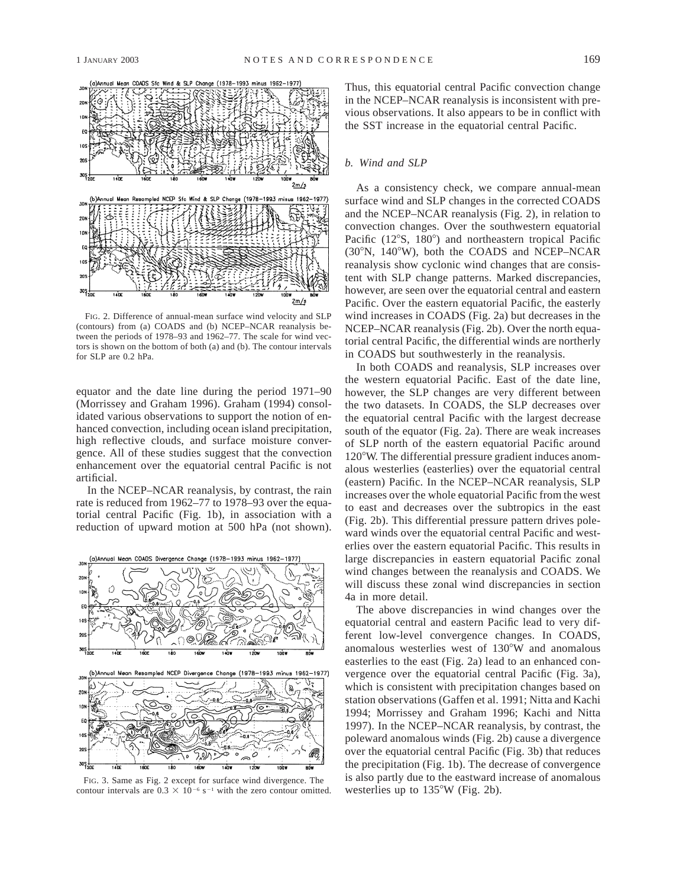

FIG. 2. Difference of annual-mean surface wind velocity and SLP (contours) from (a) COADS and (b) NCEP–NCAR reanalysis between the periods of 1978–93 and 1962–77. The scale for wind vectors is shown on the bottom of both (a) and (b). The contour intervals for SLP are 0.2 hPa.

equator and the date line during the period 1971–90 (Morrissey and Graham 1996). Graham (1994) consolidated various observations to support the notion of enhanced convection, including ocean island precipitation, high reflective clouds, and surface moisture convergence. All of these studies suggest that the convection enhancement over the equatorial central Pacific is not artificial.

In the NCEP–NCAR reanalysis, by contrast, the rain rate is reduced from 1962–77 to 1978–93 over the equatorial central Pacific (Fig. 1b), in association with a reduction of upward motion at 500 hPa (not shown).



FIG. 3. Same as Fig. 2 except for surface wind divergence. The contour intervals are  $0.3 \times 10^{-6}$  s<sup>-1</sup> with the zero contour omitted.

Thus, this equatorial central Pacific convection change in the NCEP–NCAR reanalysis is inconsistent with previous observations. It also appears to be in conflict with the SST increase in the equatorial central Pacific.

## *b. Wind and SLP*

As a consistency check, we compare annual-mean surface wind and SLP changes in the corrected COADS and the NCEP–NCAR reanalysis (Fig. 2), in relation to convection changes. Over the southwestern equatorial Pacific  $(12^{\circ}S, 180^{\circ})$  and northeastern tropical Pacific  $(30^{\circ}N, 140^{\circ}W)$ , both the COADS and NCEP–NCAR reanalysis show cyclonic wind changes that are consistent with SLP change patterns. Marked discrepancies, however, are seen over the equatorial central and eastern Pacific. Over the eastern equatorial Pacific, the easterly wind increases in COADS (Fig. 2a) but decreases in the NCEP–NCAR reanalysis (Fig. 2b). Over the north equatorial central Pacific, the differential winds are northerly in COADS but southwesterly in the reanalysis.

In both COADS and reanalysis, SLP increases over the western equatorial Pacific. East of the date line, however, the SLP changes are very different between the two datasets. In COADS, the SLP decreases over the equatorial central Pacific with the largest decrease south of the equator (Fig. 2a). There are weak increases of SLP north of the eastern equatorial Pacific around 120°W. The differential pressure gradient induces anomalous westerlies (easterlies) over the equatorial central (eastern) Pacific. In the NCEP–NCAR reanalysis, SLP increases over the whole equatorial Pacific from the west to east and decreases over the subtropics in the east (Fig. 2b). This differential pressure pattern drives poleward winds over the equatorial central Pacific and westerlies over the eastern equatorial Pacific. This results in large discrepancies in eastern equatorial Pacific zonal wind changes between the reanalysis and COADS. We will discuss these zonal wind discrepancies in section 4a in more detail.

The above discrepancies in wind changes over the equatorial central and eastern Pacific lead to very different low-level convergence changes. In COADS, anomalous westerlies west of  $130^{\circ}$ W and anomalous easterlies to the east (Fig. 2a) lead to an enhanced convergence over the equatorial central Pacific (Fig. 3a), which is consistent with precipitation changes based on station observations (Gaffen et al. 1991; Nitta and Kachi 1994; Morrissey and Graham 1996; Kachi and Nitta 1997). In the NCEP–NCAR reanalysis, by contrast, the poleward anomalous winds (Fig. 2b) cause a divergence over the equatorial central Pacific (Fig. 3b) that reduces the precipitation (Fig. 1b). The decrease of convergence is also partly due to the eastward increase of anomalous westerlies up to  $135^{\circ}$ W (Fig. 2b).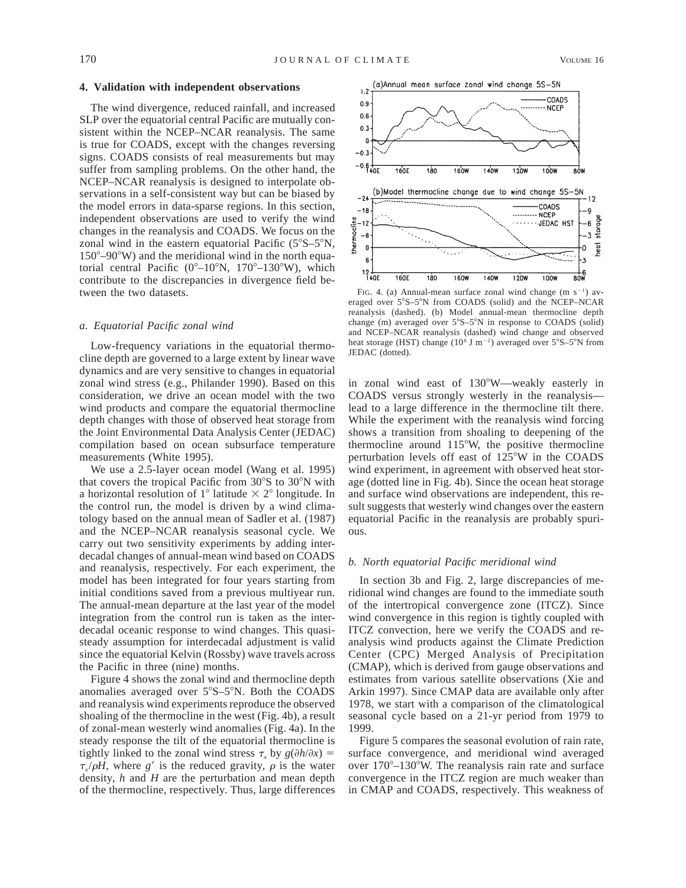## **4. Validation with independent observations**

The wind divergence, reduced rainfall, and increased SLP over the equatorial central Pacific are mutually consistent within the NCEP–NCAR reanalysis. The same is true for COADS, except with the changes reversing signs. COADS consists of real measurements but may suffer from sampling problems. On the other hand, the NCEP–NCAR reanalysis is designed to interpolate observations in a self-consistent way but can be biased by the model errors in data-sparse regions. In this section, independent observations are used to verify the wind changes in the reanalysis and COADS. We focus on the zonal wind in the eastern equatorial Pacific  $(5^{\circ}S-5^{\circ}N,$  $150^{\circ}$ –90°W) and the meridional wind in the north equatorial central Pacific ( $0^{\circ}-10^{\circ}N$ ,  $170^{\circ}-130^{\circ}W$ ), which contribute to the discrepancies in divergence field between the two datasets.

#### *a. Equatorial Pacific zonal wind*

Low-frequency variations in the equatorial thermocline depth are governed to a large extent by linear wave dynamics and are very sensitive to changes in equatorial zonal wind stress (e.g., Philander 1990). Based on this consideration, we drive an ocean model with the two wind products and compare the equatorial thermocline depth changes with those of observed heat storage from the Joint Environmental Data Analysis Center (JEDAC) compilation based on ocean subsurface temperature measurements (White 1995).

We use a 2.5-layer ocean model (Wang et al. 1995) that covers the tropical Pacific from  $30^{\circ}$ S to  $30^{\circ}$ N with a horizontal resolution of  $1^{\circ}$  latitude  $\times$   $2^{\circ}$  longitude. In the control run, the model is driven by a wind climatology based on the annual mean of Sadler et al. (1987) and the NCEP–NCAR reanalysis seasonal cycle. We carry out two sensitivity experiments by adding interdecadal changes of annual-mean wind based on COADS and reanalysis, respectively. For each experiment, the model has been integrated for four years starting from initial conditions saved from a previous multiyear run. The annual-mean departure at the last year of the model integration from the control run is taken as the interdecadal oceanic response to wind changes. This quasisteady assumption for interdecadal adjustment is valid since the equatorial Kelvin (Rossby) wave travels across the Pacific in three (nine) months.

Figure 4 shows the zonal wind and thermocline depth anomalies averaged over  $5^{\circ}S - 5^{\circ}N$ . Both the COADS and reanalysis wind experiments reproduce the observed shoaling of the thermocline in the west (Fig. 4b), a result of zonal-mean westerly wind anomalies (Fig. 4a). In the steady response the tilt of the equatorial thermocline is tightly linked to the zonal wind stress  $\tau$ <sub>x</sub> by  $g(\partial h/\partial x)$  =  $\tau_r/\rho H$ , where g' is the reduced gravity,  $\rho$  is the water density, *h* and *H* are the perturbation and mean depth of the thermocline, respectively. Thus, large differences



FIG. 4. (a) Annual-mean surface zonal wind change  $(m s<sup>-1</sup>)$  averaged over 5°S-5°N from COADS (solid) and the NCEP-NCAR reanalysis (dashed). (b) Model annual-mean thermocline depth change (m) averaged over  $5^{\circ}S-5^{\circ}N$  in response to COADS (solid) and NCEP–NCAR reanalysis (dashed) wind change and observed heat storage (HST) change ( $10<sup>8</sup>$  J m<sup>-2</sup>) averaged over  $5<sup>°</sup>S-5<sup>°</sup>N$  from JEDAC (dotted).

in zonal wind east of 130°W—weakly easterly in COADS versus strongly westerly in the reanalysis lead to a large difference in the thermocline tilt there. While the experiment with the reanalysis wind forcing shows a transition from shoaling to deepening of the thermocline around  $115^{\circ}$ W, the positive thermocline perturbation levels off east of  $125^{\circ}$ W in the COADS wind experiment, in agreement with observed heat storage (dotted line in Fig. 4b). Since the ocean heat storage and surface wind observations are independent, this result suggests that westerly wind changes over the eastern equatorial Pacific in the reanalysis are probably spurious.

#### *b. North equatorial Pacific meridional wind*

In section 3b and Fig. 2, large discrepancies of meridional wind changes are found to the immediate south of the intertropical convergence zone (ITCZ). Since wind convergence in this region is tightly coupled with ITCZ convection, here we verify the COADS and reanalysis wind products against the Climate Prediction Center (CPC) Merged Analysis of Precipitation (CMAP), which is derived from gauge observations and estimates from various satellite observations (Xie and Arkin 1997). Since CMAP data are available only after 1978, we start with a comparison of the climatological seasonal cycle based on a 21-yr period from 1979 to 1999.

Figure 5 compares the seasonal evolution of rain rate, surface convergence, and meridional wind averaged over  $170^{\circ}-130^{\circ}$ W. The reanalysis rain rate and surface convergence in the ITCZ region are much weaker than in CMAP and COADS, respectively. This weakness of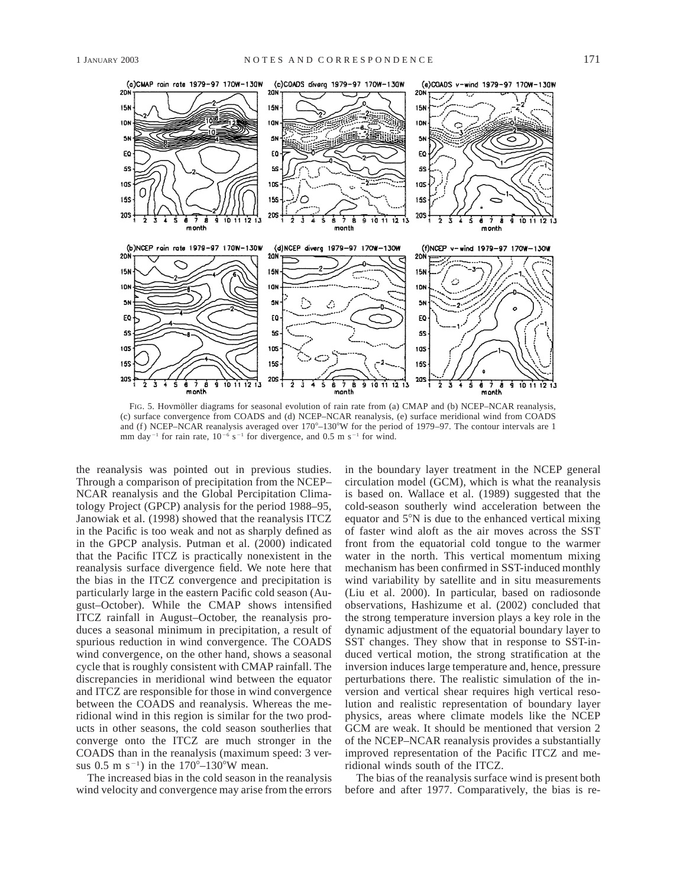

FIG. 5. Hovmöller diagrams for seasonal evolution of rain rate from (a) CMAP and (b) NCEP–NCAR reanalysis, (c) surface convergence from COADS and (d) NCEP–NCAR reanalysis, (e) surface meridional wind from COADS and (f) NCEP-NCAR reanalysis averaged over  $170^{\circ}$ -130°W for the period of 1979–97. The contour intervals are 1 mm day<sup>-1</sup> for rain rate,  $10^{-6}$  s<sup>-1</sup> for divergence, and 0.5 m s<sup>-1</sup> for wind.

the reanalysis was pointed out in previous studies. Through a comparison of precipitation from the NCEP– NCAR reanalysis and the Global Percipitation Climatology Project (GPCP) analysis for the period 1988–95, Janowiak et al. (1998) showed that the reanalysis ITCZ in the Pacific is too weak and not as sharply defined as in the GPCP analysis. Putman et al. (2000) indicated that the Pacific ITCZ is practically nonexistent in the reanalysis surface divergence field. We note here that the bias in the ITCZ convergence and precipitation is particularly large in the eastern Pacific cold season (August–October). While the CMAP shows intensified ITCZ rainfall in August–October, the reanalysis produces a seasonal minimum in precipitation, a result of spurious reduction in wind convergence. The COADS wind convergence, on the other hand, shows a seasonal cycle that is roughly consistent with CMAP rainfall. The discrepancies in meridional wind between the equator and ITCZ are responsible for those in wind convergence between the COADS and reanalysis. Whereas the meridional wind in this region is similar for the two products in other seasons, the cold season southerlies that converge onto the ITCZ are much stronger in the COADS than in the reanalysis (maximum speed: 3 versus 0.5 m s<sup>-1</sup>) in the  $170^{\circ} - 130^{\circ}$ W mean.

The increased bias in the cold season in the reanalysis wind velocity and convergence may arise from the errors in the boundary layer treatment in the NCEP general circulation model (GCM), which is what the reanalysis is based on. Wallace et al. (1989) suggested that the cold-season southerly wind acceleration between the equator and  $5^\circ$ N is due to the enhanced vertical mixing of faster wind aloft as the air moves across the SST front from the equatorial cold tongue to the warmer water in the north. This vertical momentum mixing mechanism has been confirmed in SST-induced monthly wind variability by satellite and in situ measurements (Liu et al. 2000). In particular, based on radiosonde observations, Hashizume et al. (2002) concluded that the strong temperature inversion plays a key role in the dynamic adjustment of the equatorial boundary layer to SST changes. They show that in response to SST-induced vertical motion, the strong stratification at the inversion induces large temperature and, hence, pressure perturbations there. The realistic simulation of the inversion and vertical shear requires high vertical resolution and realistic representation of boundary layer physics, areas where climate models like the NCEP GCM are weak. It should be mentioned that version 2 of the NCEP–NCAR reanalysis provides a substantially improved representation of the Pacific ITCZ and meridional winds south of the ITCZ.

The bias of the reanalysis surface wind is present both before and after 1977. Comparatively, the bias is re-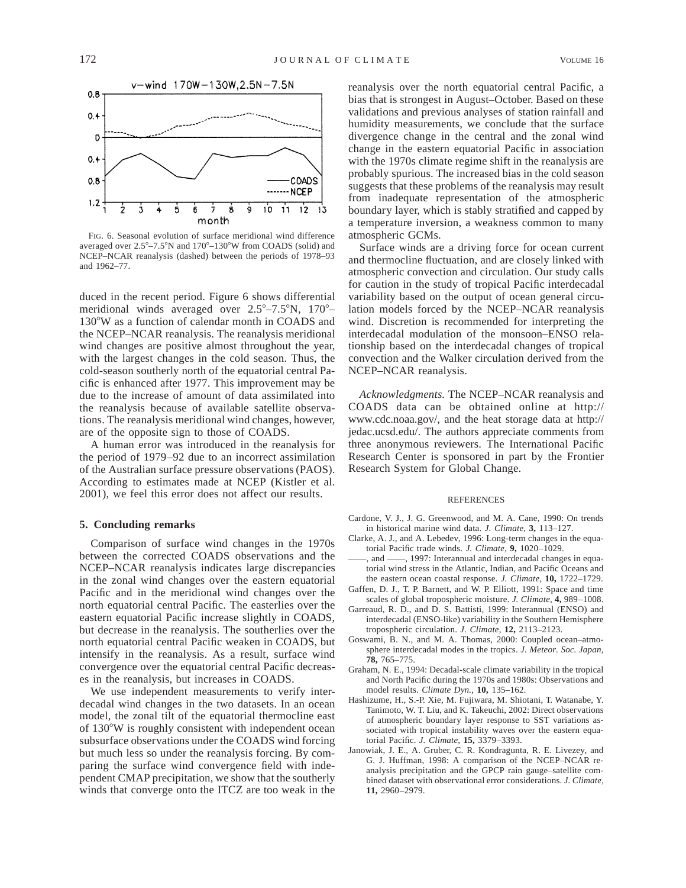

FIG. 6. Seasonal evolution of surface meridional wind difference averaged over  $2.5^{\circ}-7.5^{\circ}N$  and  $170^{\circ}-130^{\circ}W$  from COADS (solid) and NCEP–NCAR reanalysis (dashed) between the periods of 1978–93 and 1962–77.

duced in the recent period. Figure 6 shows differential meridional winds averaged over  $2.5^{\circ} - 7.5^{\circ}$ N,  $170^{\circ} -$ 130°W as a function of calendar month in COADS and the NCEP–NCAR reanalysis. The reanalysis meridional wind changes are positive almost throughout the year, with the largest changes in the cold season. Thus, the cold-season southerly north of the equatorial central Pacific is enhanced after 1977. This improvement may be due to the increase of amount of data assimilated into the reanalysis because of available satellite observations. The reanalysis meridional wind changes, however, are of the opposite sign to those of COADS.

A human error was introduced in the reanalysis for the period of 1979–92 due to an incorrect assimilation of the Australian surface pressure observations (PAOS). According to estimates made at NCEP (Kistler et al. 2001), we feel this error does not affect our results.

#### **5. Concluding remarks**

Comparison of surface wind changes in the 1970s between the corrected COADS observations and the NCEP–NCAR reanalysis indicates large discrepancies in the zonal wind changes over the eastern equatorial Pacific and in the meridional wind changes over the north equatorial central Pacific. The easterlies over the eastern equatorial Pacific increase slightly in COADS, but decrease in the reanalysis. The southerlies over the north equatorial central Pacific weaken in COADS, but intensify in the reanalysis. As a result, surface wind convergence over the equatorial central Pacific decreases in the reanalysis, but increases in COADS.

We use independent measurements to verify interdecadal wind changes in the two datasets. In an ocean model, the zonal tilt of the equatorial thermocline east of 130°W is roughly consistent with independent ocean subsurface observations under the COADS wind forcing but much less so under the reanalysis forcing. By comparing the surface wind convergence field with independent CMAP precipitation, we show that the southerly winds that converge onto the ITCZ are too weak in the reanalysis over the north equatorial central Pacific, a bias that is strongest in August–October. Based on these validations and previous analyses of station rainfall and humidity measurements, we conclude that the surface divergence change in the central and the zonal wind change in the eastern equatorial Pacific in association with the 1970s climate regime shift in the reanalysis are probably spurious. The increased bias in the cold season suggests that these problems of the reanalysis may result from inadequate representation of the atmospheric boundary layer, which is stably stratified and capped by a temperature inversion, a weakness common to many atmospheric GCMs.

Surface winds are a driving force for ocean current and thermocline fluctuation, and are closely linked with atmospheric convection and circulation. Our study calls for caution in the study of tropical Pacific interdecadal variability based on the output of ocean general circulation models forced by the NCEP–NCAR reanalysis wind. Discretion is recommended for interpreting the interdecadal modulation of the monsoon–ENSO relationship based on the interdecadal changes of tropical convection and the Walker circulation derived from the NCEP–NCAR reanalysis.

*Acknowledgments.* The NCEP–NCAR reanalysis and COADS data can be obtained online at http:// www.cdc.noaa.gov/, and the heat storage data at http:// jedac.ucsd.edu/. The authors appreciate comments from three anonymous reviewers. The International Pacific Research Center is sponsored in part by the Frontier Research System for Global Change.

#### REFERENCES

- Cardone, V. J., J. G. Greenwood, and M. A. Cane, 1990: On trends in historical marine wind data. *J. Climate,* **3,** 113–127.
- Clarke, A. J., and A. Lebedev, 1996: Long-term changes in the equatorial Pacific trade winds. *J. Climate,* **9,** 1020–1029.
- and ——, 1997: Interannual and interdecadal changes in equatorial wind stress in the Atlantic, Indian, and Pacific Oceans and the eastern ocean coastal response. *J. Climate,* **10,** 1722–1729.
- Gaffen, D. J., T. P. Barnett, and W. P. Elliott, 1991: Space and time scales of global tropospheric moisture. *J. Climate,* **4,** 989–1008.
- Garreaud, R. D., and D. S. Battisti, 1999: Interannual (ENSO) and interdecadal (ENSO-like) variability in the Southern Hemisphere tropospheric circulation. *J. Climate,* **12,** 2113–2123.
- Goswami, B. N., and M. A. Thomas, 2000: Coupled ocean–atmosphere interdecadal modes in the tropics. *J. Meteor. Soc. Japan,* **78,** 765–775.
- Graham, N. E., 1994: Decadal-scale climate variability in the tropical and North Pacific during the 1970s and 1980s: Observations and model results. *Climate Dyn.,* **10,** 135–162.
- Hashizume, H., S.-P. Xie, M. Fujiwara, M. Shiotani, T. Watanabe, Y. Tanimoto, W. T. Liu, and K. Takeuchi, 2002: Direct observations of atmospheric boundary layer response to SST variations associated with tropical instability waves over the eastern equatorial Pacific. *J. Climate,* **15,** 3379–3393.
- Janowiak, J. E., A. Gruber, C. R. Kondragunta, R. E. Livezey, and G. J. Huffman, 1998: A comparison of the NCEP–NCAR reanalysis precipitation and the GPCP rain gauge–satellite combined dataset with observational error considerations. *J. Climate,* **11,** 2960–2979.